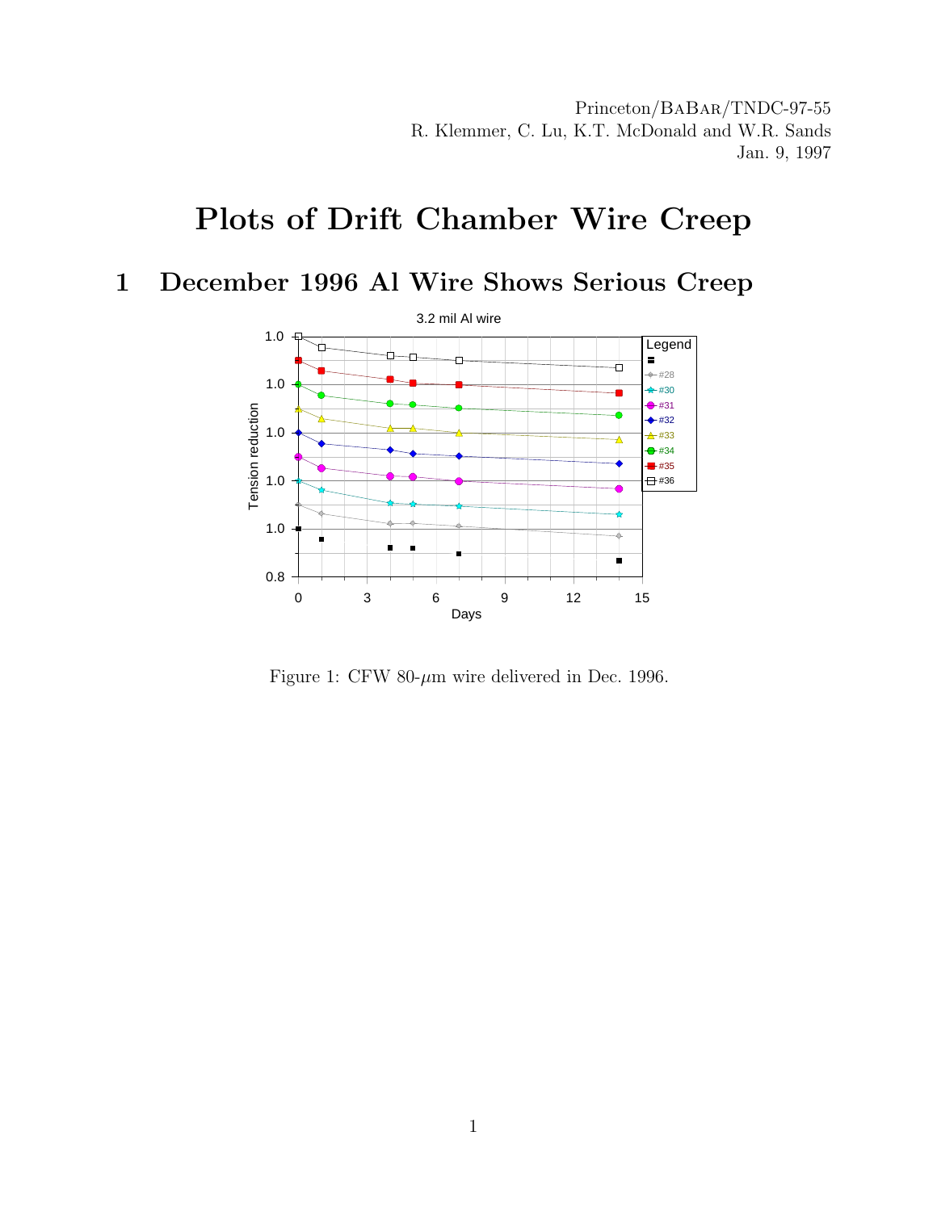Princeton/BaBar/TNDC-97-55 R. Klemmer, C. Lu, K.T. McDonald and W.R. Sands Jan. 9, 1997

## Plots of Drift Chamber Wire Creep

## 1 December 1996 Al Wire Shows Serious Creep



Figure 1: CFW 80- $\mu$ m wire delivered in Dec. 1996.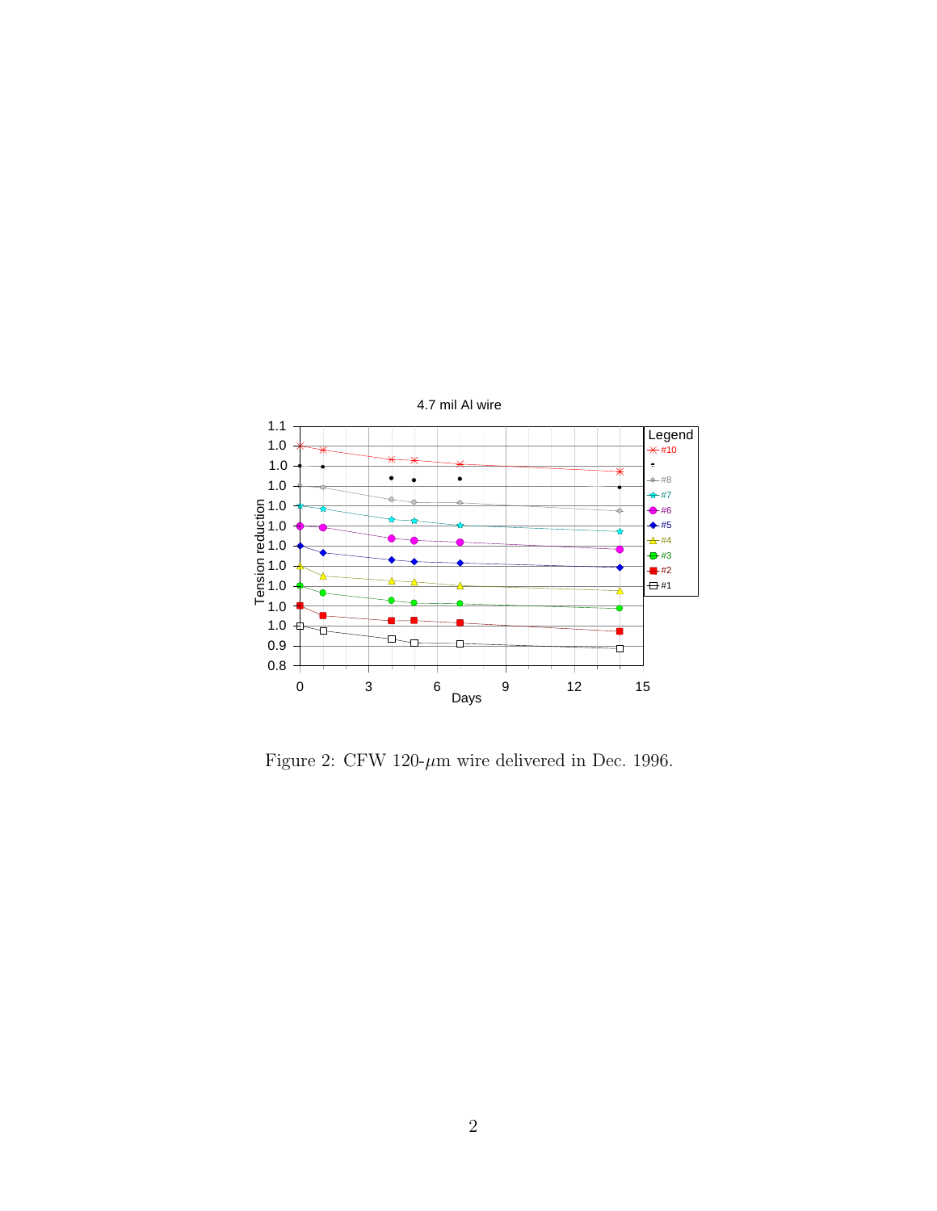

Figure 2: CFW 120- $\mu$ m wire delivered in Dec. 1996.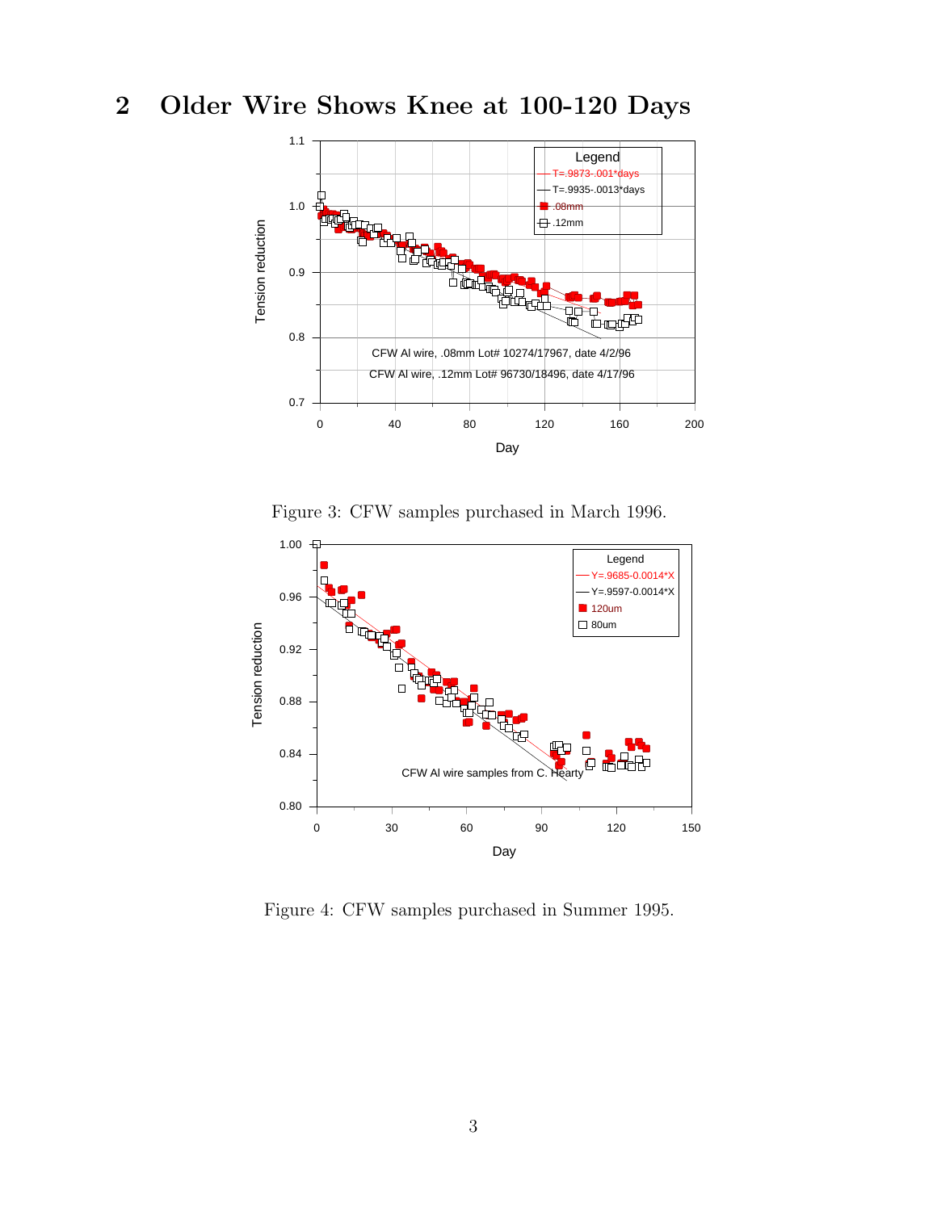## 2 Older Wire Shows Knee at 100-120 Days



Figure 3: CFW samples purchased in March 1996.



Figure 4: CFW samples purchased in Summer 1995.